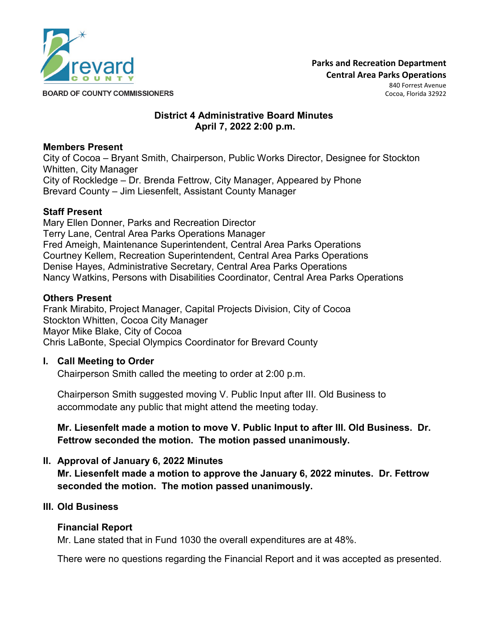

**Parks and Recreation Department Central Area Parks Operations**  840 Forrest Avenue

Cocoa, Florida 32922

**BOARD OF COUNTY COMMISSIONERS** 

# **District 4 Administrative Board Minutes April 7, 2022 2:00 p.m.**

### **Members Present**

City of Cocoa – Bryant Smith, Chairperson, Public Works Director, Designee for Stockton Whitten, City Manager City of Rockledge – Dr. Brenda Fettrow, City Manager, Appeared by Phone Brevard County – Jim Liesenfelt, Assistant County Manager

### **Staff Present**

Mary Ellen Donner, Parks and Recreation Director Terry Lane, Central Area Parks Operations Manager Fred Ameigh, Maintenance Superintendent, Central Area Parks Operations Courtney Kellem, Recreation Superintendent, Central Area Parks Operations Denise Hayes, Administrative Secretary, Central Area Parks Operations Nancy Watkins, Persons with Disabilities Coordinator, Central Area Parks Operations

#### **Others Present**

Frank Mirabito, Project Manager, Capital Projects Division, City of Cocoa Stockton Whitten, Cocoa City Manager Mayor Mike Blake, City of Cocoa Chris LaBonte, Special Olympics Coordinator for Brevard County

## **I. Call Meeting to Order**

Chairperson Smith called the meeting to order at 2:00 p.m.

Chairperson Smith suggested moving V. Public Input after III. Old Business to accommodate any public that might attend the meeting today.

# **Mr. Liesenfelt made a motion to move V. Public Input to after III. Old Business. Dr. Fettrow seconded the motion. The motion passed unanimously.**

## **II. Approval of January 6, 2022 Minutes**

**Mr. Liesenfelt made a motion to approve the January 6, 2022 minutes. Dr. Fettrow seconded the motion. The motion passed unanimously.**

#### **III. Old Business**

#### **Financial Report**

Mr. Lane stated that in Fund 1030 the overall expenditures are at 48%.

There were no questions regarding the Financial Report and it was accepted as presented.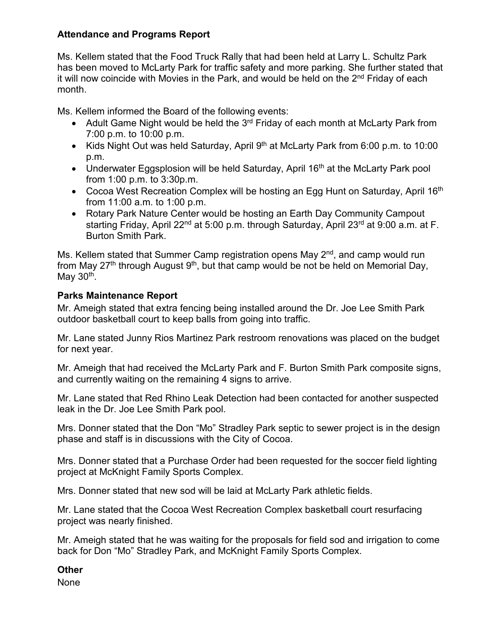## **Attendance and Programs Report**

Ms. Kellem stated that the Food Truck Rally that had been held at Larry L. Schultz Park has been moved to McLarty Park for traffic safety and more parking. She further stated that it will now coincide with Movies in the Park, and would be held on the 2<sup>nd</sup> Friday of each month.

Ms. Kellem informed the Board of the following events:

- Adult Game Night would be held the 3<sup>rd</sup> Friday of each month at McLarty Park from 7:00 p.m. to 10:00 p.m.
- Kids Night Out was held Saturday, April  $9<sup>th</sup>$  at McLarty Park from 6:00 p.m. to 10:00 p.m.
- Underwater Eggsplosion will be held Saturday, April 16<sup>th</sup> at the McLarty Park pool from 1:00 p.m. to 3:30p.m.
- Cocoa West Recreation Complex will be hosting an Egg Hunt on Saturday, April 16<sup>th</sup> from 11:00 a.m. to 1:00 p.m.
- Rotary Park Nature Center would be hosting an Earth Day Community Campout starting Friday, April 22<sup>nd</sup> at 5:00 p.m. through Saturday, April 23<sup>rd</sup> at 9:00 a.m. at F. Burton Smith Park.

Ms. Kellem stated that Summer Camp registration opens May 2<sup>nd</sup>, and camp would run from May 27<sup>th</sup> through August  $9<sup>th</sup>$ , but that camp would be not be held on Memorial Day, May  $30<sup>th</sup>$ .

# **Parks Maintenance Report**

Mr. Ameigh stated that extra fencing being installed around the Dr. Joe Lee Smith Park outdoor basketball court to keep balls from going into traffic.

Mr. Lane stated Junny Rios Martinez Park restroom renovations was placed on the budget for next year.

Mr. Ameigh that had received the McLarty Park and F. Burton Smith Park composite signs, and currently waiting on the remaining 4 signs to arrive.

Mr. Lane stated that Red Rhino Leak Detection had been contacted for another suspected leak in the Dr. Joe Lee Smith Park pool.

Mrs. Donner stated that the Don "Mo" Stradley Park septic to sewer project is in the design phase and staff is in discussions with the City of Cocoa.

Mrs. Donner stated that a Purchase Order had been requested for the soccer field lighting project at McKnight Family Sports Complex.

Mrs. Donner stated that new sod will be laid at McLarty Park athletic fields.

Mr. Lane stated that the Cocoa West Recreation Complex basketball court resurfacing project was nearly finished.

Mr. Ameigh stated that he was waiting for the proposals for field sod and irrigation to come back for Don "Mo" Stradley Park, and McKnight Family Sports Complex.

# **Other**

None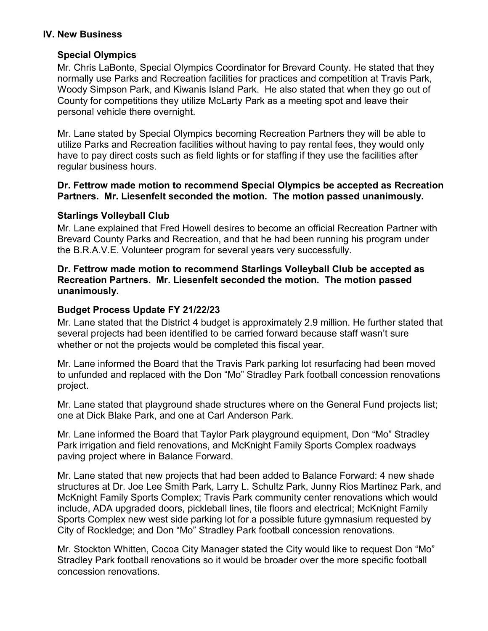### **IV. New Business**

## **Special Olympics**

Mr. Chris LaBonte, Special Olympics Coordinator for Brevard County. He stated that they normally use Parks and Recreation facilities for practices and competition at Travis Park, Woody Simpson Park, and Kiwanis Island Park. He also stated that when they go out of County for competitions they utilize McLarty Park as a meeting spot and leave their personal vehicle there overnight.

Mr. Lane stated by Special Olympics becoming Recreation Partners they will be able to utilize Parks and Recreation facilities without having to pay rental fees, they would only have to pay direct costs such as field lights or for staffing if they use the facilities after regular business hours.

#### **Dr. Fettrow made motion to recommend Special Olympics be accepted as Recreation Partners. Mr. Liesenfelt seconded the motion. The motion passed unanimously.**

## **Starlings Volleyball Club**

Mr. Lane explained that Fred Howell desires to become an official Recreation Partner with Brevard County Parks and Recreation, and that he had been running his program under the B.R.A.V.E. Volunteer program for several years very successfully.

### **Dr. Fettrow made motion to recommend Starlings Volleyball Club be accepted as Recreation Partners. Mr. Liesenfelt seconded the motion. The motion passed unanimously.**

# **Budget Process Update FY 21/22/23**

Mr. Lane stated that the District 4 budget is approximately 2.9 million. He further stated that several projects had been identified to be carried forward because staff wasn't sure whether or not the projects would be completed this fiscal year.

Mr. Lane informed the Board that the Travis Park parking lot resurfacing had been moved to unfunded and replaced with the Don "Mo" Stradley Park football concession renovations project.

Mr. Lane stated that playground shade structures where on the General Fund projects list; one at Dick Blake Park, and one at Carl Anderson Park.

Mr. Lane informed the Board that Taylor Park playground equipment, Don "Mo" Stradley Park irrigation and field renovations, and McKnight Family Sports Complex roadways paving project where in Balance Forward.

Mr. Lane stated that new projects that had been added to Balance Forward: 4 new shade structures at Dr. Joe Lee Smith Park, Larry L. Schultz Park, Junny Rios Martinez Park, and McKnight Family Sports Complex; Travis Park community center renovations which would include, ADA upgraded doors, pickleball lines, tile floors and electrical; McKnight Family Sports Complex new west side parking lot for a possible future gymnasium requested by City of Rockledge; and Don "Mo" Stradley Park football concession renovations.

Mr. Stockton Whitten, Cocoa City Manager stated the City would like to request Don "Mo" Stradley Park football renovations so it would be broader over the more specific football concession renovations.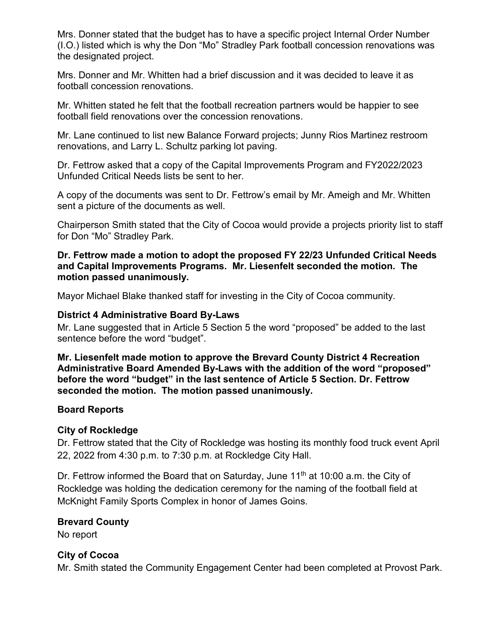Mrs. Donner stated that the budget has to have a specific project Internal Order Number (I.O.) listed which is why the Don "Mo" Stradley Park football concession renovations was the designated project.

Mrs. Donner and Mr. Whitten had a brief discussion and it was decided to leave it as football concession renovations.

Mr. Whitten stated he felt that the football recreation partners would be happier to see football field renovations over the concession renovations.

Mr. Lane continued to list new Balance Forward projects; Junny Rios Martinez restroom renovations, and Larry L. Schultz parking lot paving.

Dr. Fettrow asked that a copy of the Capital Improvements Program and FY2022/2023 Unfunded Critical Needs lists be sent to her.

A copy of the documents was sent to Dr. Fettrow's email by Mr. Ameigh and Mr. Whitten sent a picture of the documents as well.

Chairperson Smith stated that the City of Cocoa would provide a projects priority list to staff for Don "Mo" Stradley Park.

**Dr. Fettrow made a motion to adopt the proposed FY 22/23 Unfunded Critical Needs and Capital Improvements Programs. Mr. Liesenfelt seconded the motion. The motion passed unanimously.**

Mayor Michael Blake thanked staff for investing in the City of Cocoa community.

### **District 4 Administrative Board By-Laws**

Mr. Lane suggested that in Article 5 Section 5 the word "proposed" be added to the last sentence before the word "budget".

**Mr. Liesenfelt made motion to approve the Brevard County District 4 Recreation Administrative Board Amended By-Laws with the addition of the word "proposed" before the word "budget" in the last sentence of Article 5 Section. Dr. Fettrow seconded the motion. The motion passed unanimously.**

#### **Board Reports**

#### **City of Rockledge**

Dr. Fettrow stated that the City of Rockledge was hosting its monthly food truck event April 22, 2022 from 4:30 p.m. to 7:30 p.m. at Rockledge City Hall.

Dr. Fettrow informed the Board that on Saturday, June  $11<sup>th</sup>$  at 10:00 a.m. the City of Rockledge was holding the dedication ceremony for the naming of the football field at McKnight Family Sports Complex in honor of James Goins.

## **Brevard County**

No report

#### **City of Cocoa**

Mr. Smith stated the Community Engagement Center had been completed at Provost Park.